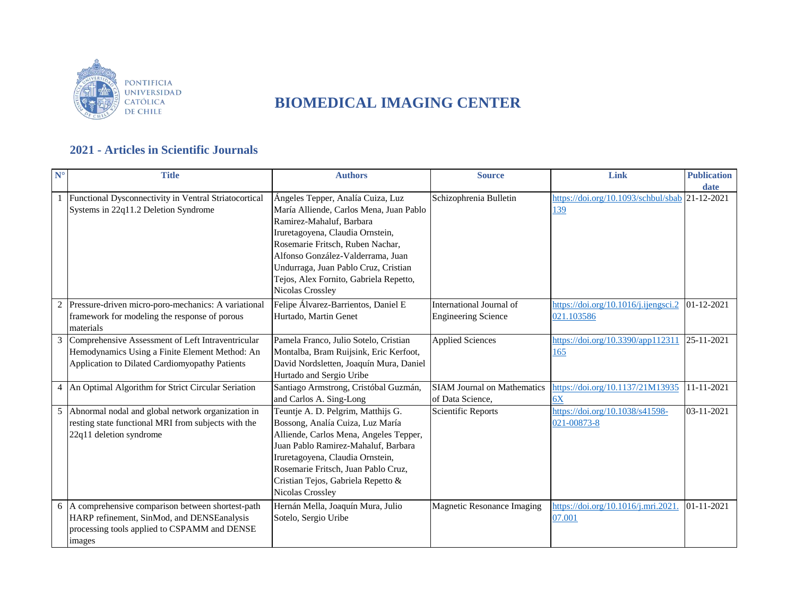

## **BIOMEDICAL IMAGING CENTER**

## **2021 - Articles in Scientific Journals**

| $N^{\circ}$  | <b>Title</b>                                                                                                                                               | <b>Authors</b>                                                                                                                                                                                                                                                                                                              | <b>Source</b>                                          | Link                                                  | <b>Publication</b><br>date |
|--------------|------------------------------------------------------------------------------------------------------------------------------------------------------------|-----------------------------------------------------------------------------------------------------------------------------------------------------------------------------------------------------------------------------------------------------------------------------------------------------------------------------|--------------------------------------------------------|-------------------------------------------------------|----------------------------|
| $\mathbf{1}$ | Functional Dysconnectivity in Ventral Striatocortical<br>Systems in 22q11.2 Deletion Syndrome                                                              | Ángeles Tepper, Analía Cuiza, Luz<br>María Alliende, Carlos Mena, Juan Pablo<br>Ramirez-Mahaluf, Barbara<br>Iruretagoyena, Claudia Ornstein,<br>Rosemarie Fritsch, Ruben Nachar,<br>Alfonso González-Valderrama, Juan<br>Undurraga, Juan Pablo Cruz, Cristian<br>Tejos, Alex Fornito, Gabriela Repetto,<br>Nicolas Crossley | Schizophrenia Bulletin                                 | https://doi.org/10.1093/schbul/sbab 21-12-2021<br>139 |                            |
|              | Pressure-driven micro-poro-mechanics: A variational<br>framework for modeling the response of porous<br>materials                                          | Felipe Álvarez-Barrientos, Daniel E<br>Hurtado, Martin Genet                                                                                                                                                                                                                                                                | International Journal of<br><b>Engineering Science</b> | https://doi.org/10.1016/j.ijengsci.2<br>021.103586    | 01-12-2021                 |
|              | Comprehensive Assessment of Left Intraventricular<br>Hemodynamics Using a Finite Element Method: An<br>Application to Dilated Cardiomyopathy Patients      | Pamela Franco, Julio Sotelo, Cristian<br>Montalba, Bram Ruijsink, Eric Kerfoot,<br>David Nordsletten, Joaquín Mura, Daniel<br>Hurtado and Sergio Uribe                                                                                                                                                                      | <b>Applied Sciences</b>                                | https://doi.org/10.3390/app112311<br>165              | 25-11-2021                 |
| 4            | An Optimal Algorithm for Strict Circular Seriation                                                                                                         | Santiago Armstrong, Cristóbal Guzmán,<br>and Carlos A. Sing-Long                                                                                                                                                                                                                                                            | <b>SIAM Journal on Mathematics</b><br>of Data Science, | https://doi.org/10.1137/21M13935<br>6X                | 11-11-2021                 |
| 5            | Abnormal nodal and global network organization in<br>resting state functional MRI from subjects with the<br>22q11 deletion syndrome                        | Teuntje A. D. Pelgrim, Matthijs G.<br>Bossong, Analía Cuiza, Luz María<br>Alliende, Carlos Mena, Angeles Tepper,<br>Juan Pablo Ramirez-Mahaluf, Barbara<br>Iruretagoyena, Claudia Ornstein,<br>Rosemarie Fritsch, Juan Pablo Cruz,<br>Cristian Tejos, Gabriela Repetto &<br>Nicolas Crossley                                | <b>Scientific Reports</b>                              | https://doi.org/10.1038/s41598-<br>021-00873-8        | 03-11-2021                 |
|              | 6 A comprehensive comparison between shortest-path<br>HARP refinement, SinMod, and DENSEanalysis<br>processing tools applied to CSPAMM and DENSE<br>images | Hernán Mella, Joaquín Mura, Julio<br>Sotelo, Sergio Uribe                                                                                                                                                                                                                                                                   | Magnetic Resonance Imaging                             | https://doi.org/10.1016/j.mri.2021<br>07.001          | 01-11-2021                 |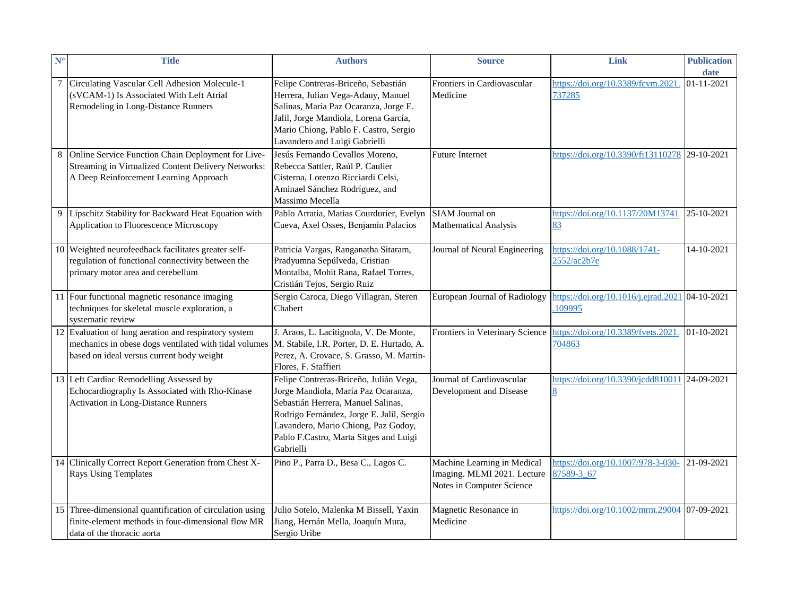| $N^{\circ}$ | <b>Title</b>                                                                                                                                                | <b>Authors</b>                                                                                                                                                                                                                                                 | <b>Source</b>                                                                           | Link                                                            | <b>Publication</b><br>date |
|-------------|-------------------------------------------------------------------------------------------------------------------------------------------------------------|----------------------------------------------------------------------------------------------------------------------------------------------------------------------------------------------------------------------------------------------------------------|-----------------------------------------------------------------------------------------|-----------------------------------------------------------------|----------------------------|
|             | 7 Circulating Vascular Cell Adhesion Molecule-1<br>(sVCAM-1) Is Associated With Left Atrial<br>Remodeling in Long-Distance Runners                          | Felipe Contreras-Briceño, Sebastián<br>Herrera, Julian Vega-Adauy, Manuel<br>Salinas, María Paz Ocaranza, Jorge E.<br>Jalil, Jorge Mandiola, Lorena García,<br>Mario Chiong, Pablo F. Castro, Sergio<br>Lavandero and Luigi Gabrielli                          | Frontiers in Cardiovascular<br>Medicine                                                 | https://doi.org/10.3389/fcvm.2021<br>737285                     | 01-11-2021                 |
| 8           | Online Service Function Chain Deployment for Live-<br>Streaming in Virtualized Content Delivery Networks:<br>A Deep Reinforcement Learning Approach         | Jesús Fernando Cevallos Moreno,<br>Rebecca Sattler, Raúl P. Caulier<br>Cisterna, Lorenzo Ricciardi Celsi,<br>Aminael Sánchez Rodríguez, and<br>Massimo Mecella                                                                                                 | <b>Future Internet</b>                                                                  | https://doi.org/10.3390/fi13110278 29-10-2021                   |                            |
| 9           | Lipschitz Stability for Backward Heat Equation with<br>Application to Fluorescence Microscopy                                                               | Pablo Arratia, Matias Courdurier, Evelyn<br>Cueva, Axel Osses, Benjamín Palacios                                                                                                                                                                               | SIAM Journal on<br>Mathematical Analysis                                                | https://doi.org/10.1137/20M13741<br>83                          | 25-10-2021                 |
|             | 10 Weighted neurofeedback facilitates greater self-<br>regulation of functional connectivity between the<br>primary motor area and cerebellum               | Patricia Vargas, Ranganatha Sitaram,<br>Pradyumna Sepúlveda, Cristian<br>Montalba, Mohit Rana, Rafael Torres,<br>Cristián Tejos, Sergio Ruiz                                                                                                                   | Journal of Neural Engineering                                                           | https://doi.org/10.1088/1741-<br>2552/ac2b7e                    | 14-10-2021                 |
|             | 11 Four functional magnetic resonance imaging<br>techniques for skeletal muscle exploration, a<br>systematic review                                         | Sergio Caroca, Diego Villagran, Steren<br>Chabert                                                                                                                                                                                                              | European Journal of Radiology                                                           | https://doi.org/10.1016/j.ejrad.2021 04-10-2021<br>109995       |                            |
|             | 12 Evaluation of lung aeration and respiratory system<br>mechanics in obese dogs ventilated with tidal volumes<br>based on ideal versus current body weight | J. Araos, L. Lacitignola, V. De Monte,<br>M. Stabile, I.R. Porter, D. E. Hurtado, A.<br>Perez, A. Crovace, S. Grasso, M. Martin-<br>Flores, F. Staffieri                                                                                                       | Frontiers in Veterinary Science                                                         | https://doi.org/10.3389/fvets.2021<br>704863                    | $01 - 10 - 2021$           |
|             | 13 Left Cardiac Remodelling Assessed by<br>Echocardiography Is Associated with Rho-Kinase<br><b>Activation in Long-Distance Runners</b>                     | Felipe Contreras-Briceño, Julián Vega,<br>Jorge Mandiola, María Paz Ocaranza,<br>Sebastián Herrera, Manuel Salinas,<br>Rodrigo Fernández, Jorge E. Jalil, Sergio<br>Lavandero, Mario Chiong, Paz Godoy,<br>Pablo F.Castro, Marta Sitges and Luigi<br>Gabrielli | Journal of Cardiovascular<br>Development and Disease                                    | https://doi.org/10.3390/jcdd810011 24-09-2021<br>$\overline{8}$ |                            |
|             | 14 Clinically Correct Report Generation from Chest X-<br><b>Rays Using Templates</b>                                                                        | Pino P., Parra D., Besa C., Lagos C.                                                                                                                                                                                                                           | Machine Learning in Medical<br>Imaging. MLMI 2021. Lecture<br>Notes in Computer Science | https://doi.org/10.1007/978-3-030-<br>87589-3 67                | 21-09-2021                 |
|             | 15 Three-dimensional quantification of circulation using<br>finite-element methods in four-dimensional flow MR<br>data of the thoracic aorta                | Julio Sotelo, Malenka M Bissell, Yaxin<br>Jiang, Hernán Mella, Joaquín Mura,<br>Sergio Uribe                                                                                                                                                                   | Magnetic Resonance in<br>Medicine                                                       | https://doi.org/10.1002/mrm.29004 07-09-2021                    |                            |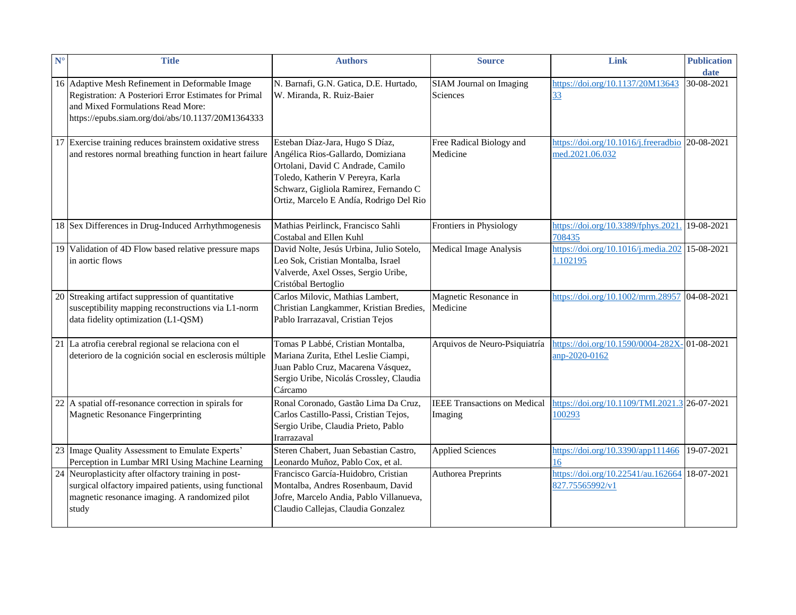| $N^{\circ}$ | <b>Title</b>                                                                                                                                                                                       | <b>Authors</b>                                                                                                                                                                                                                     | <b>Source</b>                                  | Link                                                                     | <b>Publication</b><br>date |
|-------------|----------------------------------------------------------------------------------------------------------------------------------------------------------------------------------------------------|------------------------------------------------------------------------------------------------------------------------------------------------------------------------------------------------------------------------------------|------------------------------------------------|--------------------------------------------------------------------------|----------------------------|
|             | 16 Adaptive Mesh Refinement in Deformable Image<br>Registration: A Posteriori Error Estimates for Primal<br>and Mixed Formulations Read More:<br>https://epubs.siam.org/doi/abs/10.1137/20M1364333 | N. Barnafi, G.N. Gatica, D.E. Hurtado,<br>W. Miranda, R. Ruiz-Baier                                                                                                                                                                | SIAM Journal on Imaging<br>Sciences            | https://doi.org/10.1137/20M13643<br>$\frac{33}{2}$                       | 30-08-2021                 |
|             | 17 Exercise training reduces brainstem oxidative stress<br>and restores normal breathing function in heart failure                                                                                 | Esteban Díaz-Jara, Hugo S Díaz,<br>Angélica Rios-Gallardo, Domiziana<br>Ortolani, David C Andrade, Camilo<br>Toledo, Katherin V Pereyra, Karla<br>Schwarz, Gigliola Ramirez, Fernando C<br>Ortiz, Marcelo E Andía, Rodrigo Del Rio | Free Radical Biology and<br>Medicine           | https://doi.org/10.1016/j.freeradbio 20-08-2021<br>med.2021.06.032       |                            |
|             | 18 Sex Differences in Drug-Induced Arrhythmogenesis                                                                                                                                                | Mathias Peirlinck, Francisco Sahli<br>Costabal and Ellen Kuhl                                                                                                                                                                      | Frontiers in Physiology                        | https://doi.org/10.3389/fphys.2021<br>708435                             | 19-08-2021                 |
|             | 19 Validation of 4D Flow based relative pressure maps<br>in aortic flows                                                                                                                           | David Nolte, Jesús Urbina, Julio Sotelo,<br>Leo Sok, Cristian Montalba, Israel<br>Valverde, Axel Osses, Sergio Uribe,<br>Cristóbal Bertoglio                                                                                       | <b>Medical Image Analysis</b>                  | https://doi.org/10.1016/j.media.202 15-08-2021<br>1.102195               |                            |
|             | 20 Streaking artifact suppression of quantitative<br>susceptibility mapping reconstructions via L1-norm<br>data fidelity optimization (L1-QSM)                                                     | Carlos Milovic, Mathias Lambert,<br>Christian Langkammer, Kristian Bredies,<br>Pablo Irarrazaval, Cristian Tejos                                                                                                                   | Magnetic Resonance in<br>Medicine              | https://doi.org/10.1002/mrm.28957 04-08-2021                             |                            |
|             | 21 La atrofia cerebral regional se relaciona con el<br>deterioro de la cognición social en esclerosis múltiple                                                                                     | Tomas P Labbé, Cristian Montalba,<br>Mariana Zurita, Ethel Leslie Ciampi,<br>Juan Pablo Cruz, Macarena Vásquez,<br>Sergio Uribe, Nicolás Crossley, Claudia<br>Cárcamo                                                              | Arquivos de Neuro-Psiquiatría                  | https://doi.org/10.1590/0004-282X- 01-08-2021<br>anp-2020-0162           |                            |
|             | 22 A spatial off-resonance correction in spirals for<br>Magnetic Resonance Fingerprinting                                                                                                          | Ronal Coronado, Gastão Lima Da Cruz,<br>Carlos Castillo-Passi, Cristian Tejos,<br>Sergio Uribe, Claudia Prieto, Pablo<br>Irarrazaval                                                                                               | <b>IEEE Transactions on Medical</b><br>Imaging | https://doi.org/10.1109/TMI.2021.3 26-07-2021<br>100293                  |                            |
|             | 23 Image Quality Assessment to Emulate Experts'<br>Perception in Lumbar MRI Using Machine Learning                                                                                                 | Steren Chabert, Juan Sebastian Castro,<br>Leonardo Muñoz, Pablo Cox, et al.                                                                                                                                                        | <b>Applied Sciences</b>                        | https://doi.org/10.3390/app111466<br>16                                  | 19-07-2021                 |
|             | 24 Neuroplasticity after olfactory training in post-<br>surgical olfactory impaired patients, using functional<br>magnetic resonance imaging. A randomized pilot<br>study                          | Francisco García-Huidobro, Cristian<br>Montalba, Andres Rosenbaum, David<br>Jofre, Marcelo Andia, Pablo Villanueva,<br>Claudio Callejas, Claudia Gonzalez                                                                          | <b>Authorea Preprints</b>                      | https:// <u>doi.org/10.22541/au.162664</u> 18-07-2021<br>827.75565992/v1 |                            |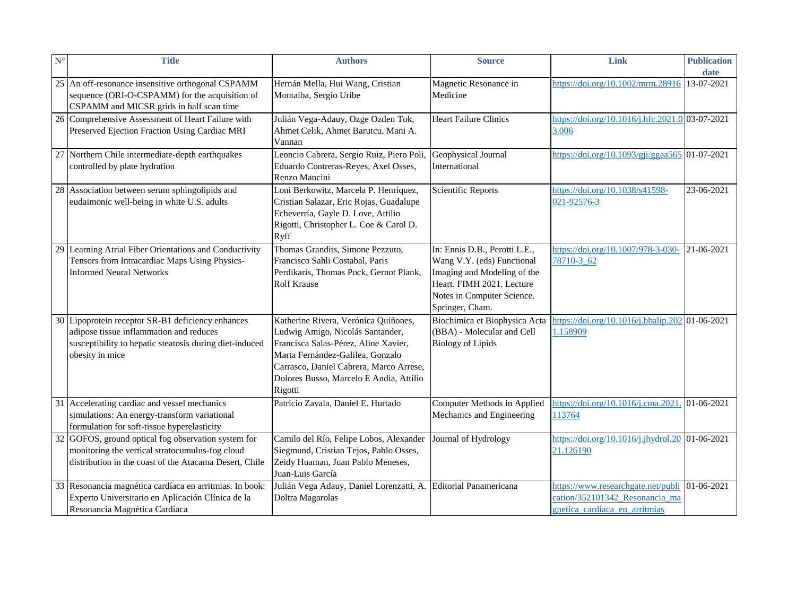| $N^{\circ}$ | <b>Title</b>                                                                                                                                                               | <b>Authors</b>                                                                                                                                                                                                                                        | <b>Source</b>                                                                                                                                                            | Link                                                                                                  | <b>Publication</b><br>date |
|-------------|----------------------------------------------------------------------------------------------------------------------------------------------------------------------------|-------------------------------------------------------------------------------------------------------------------------------------------------------------------------------------------------------------------------------------------------------|--------------------------------------------------------------------------------------------------------------------------------------------------------------------------|-------------------------------------------------------------------------------------------------------|----------------------------|
|             | 25 An off-resonance insensitive orthogonal CSPAMM<br>sequence (ORI-O-CSPAMM) for the acquisition of<br>CSPAMM and MICSR grids in half scan time                            | Hernán Mella, Hui Wang, Cristian<br>Montalba, Sergio Uribe                                                                                                                                                                                            | Magnetic Resonance in<br>Medicine                                                                                                                                        | https://doi.org/10.1002/mrm.28916                                                                     | 13-07-2021                 |
|             | 26 Comprehensive Assessment of Heart Failure with<br>Preserved Ejection Fraction Using Cardiac MRI                                                                         | Julián Vega-Adauy, Ozge Ozden Tok,<br>Ahmet Celik, Ahmet Barutcu, Mani A.<br>Vannan                                                                                                                                                                   | <b>Heart Failure Clinics</b>                                                                                                                                             | https://doi.org/10.1016/j.hfc.2021.0 03-07-2021<br>3.006                                              |                            |
|             | 27 Northern Chile intermediate-depth earthquakes<br>controlled by plate hydration                                                                                          | Leoncio Cabrera, Sergio Ruiz, Piero Poli,<br>Eduardo Contreras-Reyes, Axel Osses,<br>Renzo Mancini                                                                                                                                                    | Geophysical Journal<br>International                                                                                                                                     | https://doi.org/10.1093/gji/ggaa565 01-07-2021                                                        |                            |
|             | 28 Association between serum sphingolipids and<br>eudaimonic well-being in white U.S. adults                                                                               | Loni Berkowitz, Marcela P. Henríquez,<br>Cristian Salazar, Eric Rojas, Guadalupe<br>Echeverría, Gayle D. Love, Attilio<br>Rigotti, Christopher L. Coe & Carol D.<br>Ryff                                                                              | <b>Scientific Reports</b>                                                                                                                                                | https://doi.org/10.1038/s41598-<br>021-92576-3                                                        | 23-06-2021                 |
|             | 29 Learning Atrial Fiber Orientations and Conductivity<br>Tensors from Intracardiac Maps Using Physics-<br><b>Informed Neural Networks</b>                                 | Thomas Grandits, Simone Pezzuto,<br>Francisco Sahli Costabal, Paris<br>Perdikaris, Thomas Pock, Gernot Plank,<br>Rolf Krause                                                                                                                          | In: Ennis D.B., Perotti L.E.,<br>Wang V.Y. (eds) Functional<br>Imaging and Modeling of the<br>Heart. FIMH 2021. Lecture<br>Notes in Computer Science.<br>Springer, Cham. | https://doi.org/10.1007/978-3-030-<br>78710-3 62                                                      | 21-06-2021                 |
|             | 30 Lipoprotein receptor SR-B1 deficiency enhances<br>adipose tissue inflammation and reduces<br>susceptibility to hepatic steatosis during diet-induced<br>obesity in mice | Katherine Rivera, Verónica Quiñones,<br>Ludwig Amigo, Nicolás Santander,<br>Francisca Salas-Pérez, Aline Xavier,<br>Marta Fernández-Galilea, Gonzalo<br>Carrasco, Daniel Cabrera, Marco Arrese,<br>Dolores Busso, Marcelo E Andia, Attilio<br>Rigotti | Biochimica et Biophysica Acta<br>(BBA) - Molecular and Cell<br><b>Biology of Lipids</b>                                                                                  | https://doi.org/10.1016/j.bbalip.202 01-06-2021<br>1.158909                                           |                            |
|             | 31 Accelerating cardiac and vessel mechanics<br>simulations: An energy-transform variational<br>formulation for soft-tissue hyperelasticity                                | Patricio Zavala, Daniel E. Hurtado                                                                                                                                                                                                                    | Computer Methods in Applied<br>Mechanics and Engineering                                                                                                                 | https://doi.org/10.1016/j.cma.2021. 01-06-2021<br>113764                                              |                            |
|             | 32 GOFOS, ground optical fog observation system for<br>monitoring the vertical stratocumulus-fog cloud<br>distribution in the coast of the Atacama Desert, Chile           | Camilo del Río, Felipe Lobos, Alexander<br>Siegmund, Cristian Tejos, Pablo Osses,<br>Zeidy Huaman, Juan Pablo Meneses,<br>Juan-Luis García                                                                                                            | Journal of Hydrology                                                                                                                                                     | https://doi.org/10.1016/j.jhydrol.20 01-06-2021<br>21.126190                                          |                            |
|             | 33 Resonancia magnética cardíaca en arritmias. In book:<br>Experto Universitario en Aplicación Clínica de la<br>Resonancia Magnética Cardíaca                              | Julián Vega Adauy, Daniel Lorenzatti, A. Editorial Panamericana<br>Doltra Magarolas                                                                                                                                                                   |                                                                                                                                                                          | https://www.researchgate.net/publi<br>cation/352101342 Resonancia ma<br>gnetica cardiaca en arritmias | 01-06-2021                 |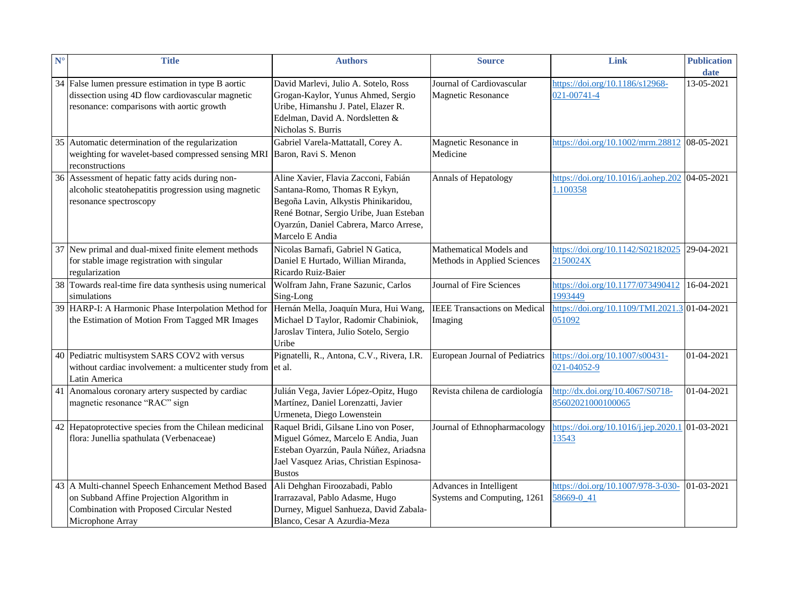| $N^{\circ}$ | <b>Title</b>                                                                                                                                         | <b>Authors</b>                                                                                                                                                             | <b>Source</b>                       | Link                                            | <b>Publication</b> |
|-------------|------------------------------------------------------------------------------------------------------------------------------------------------------|----------------------------------------------------------------------------------------------------------------------------------------------------------------------------|-------------------------------------|-------------------------------------------------|--------------------|
|             |                                                                                                                                                      |                                                                                                                                                                            | Journal of Cardiovascular           |                                                 | date               |
|             | 34 False lumen pressure estimation in type B aortic<br>dissection using 4D flow cardiovascular magnetic<br>resonance: comparisons with aortic growth | David Marlevi, Julio A. Sotelo, Ross<br>Grogan-Kaylor, Yunus Ahmed, Sergio<br>Uribe, Himanshu J. Patel, Elazer R.<br>Edelman, David A. Nordsletten &<br>Nicholas S. Burris | <b>Magnetic Resonance</b>           | https://doi.org/10.1186/s12968-<br>021-00741-4  | 13-05-2021         |
|             | 35 Automatic determination of the regularization                                                                                                     | Gabriel Varela-Mattatall, Corey A.                                                                                                                                         | Magnetic Resonance in               | https://doi.org/10.1002/mrm.28812 08-05-2021    |                    |
|             | weighting for wavelet-based compressed sensing MRI Baron, Ravi S. Menon<br>reconstructions                                                           |                                                                                                                                                                            | Medicine                            |                                                 |                    |
|             | 36 Assessment of hepatic fatty acids during non-                                                                                                     | Aline Xavier, Flavia Zacconi, Fabián                                                                                                                                       | Annals of Hepatology                | https://doi.org/10.1016/j.aohep.202 04-05-2021  |                    |
|             | alcoholic steatohepatitis progression using magnetic                                                                                                 | Santana-Romo, Thomas R Eykyn,                                                                                                                                              |                                     | 1.100358                                        |                    |
|             | resonance spectroscopy                                                                                                                               | Begoña Lavin, Alkystis Phinikaridou,                                                                                                                                       |                                     |                                                 |                    |
|             |                                                                                                                                                      | René Botnar, Sergio Uribe, Juan Esteban<br>Oyarzún, Daniel Cabrera, Marco Arrese,                                                                                          |                                     |                                                 |                    |
|             |                                                                                                                                                      | Marcelo E Andia                                                                                                                                                            |                                     |                                                 |                    |
|             | 37 New primal and dual-mixed finite element methods                                                                                                  | Nicolas Barnafi, Gabriel N Gatica,                                                                                                                                         | Mathematical Models and             | https://doi.org/10.1142/S02182025 29-04-2021    |                    |
|             | for stable image registration with singular                                                                                                          | Daniel E Hurtado, Willian Miranda,                                                                                                                                         | Methods in Applied Sciences         | 2150024X                                        |                    |
|             | regularization                                                                                                                                       | Ricardo Ruiz-Baier                                                                                                                                                         |                                     |                                                 |                    |
|             | 38 Towards real-time fire data synthesis using numerical                                                                                             | Wolfram Jahn, Frane Sazunic, Carlos                                                                                                                                        | Journal of Fire Sciences            | https://doi.org/10.1177/073490412               | 16-04-2021         |
|             | simulations                                                                                                                                          | Sing-Long                                                                                                                                                                  |                                     | 1993449                                         |                    |
|             | 39 HARP-I: A Harmonic Phase Interpolation Method for                                                                                                 | Hernán Mella, Joaquín Mura, Hui Wang,                                                                                                                                      | <b>IEEE Transactions on Medical</b> | https://doi.org/10.1109/TMI.2021.3 01-04-2021   |                    |
|             | the Estimation of Motion From Tagged MR Images                                                                                                       | Michael D Taylor, Radomir Chabiniok,                                                                                                                                       | Imaging                             | 051092                                          |                    |
|             |                                                                                                                                                      | Jaroslav Tintera, Julio Sotelo, Sergio                                                                                                                                     |                                     |                                                 |                    |
|             |                                                                                                                                                      | Uribe                                                                                                                                                                      |                                     |                                                 |                    |
|             | 40 Pediatric multisystem SARS COV2 with versus                                                                                                       | Pignatelli, R., Antona, C.V., Rivera, I.R.                                                                                                                                 | European Journal of Pediatrics      | https://doi.org/10.1007/s00431-                 | 01-04-2021         |
|             | without cardiac involvement: a multicenter study from et al.                                                                                         |                                                                                                                                                                            |                                     | 021-04052-9                                     |                    |
|             | Latin America                                                                                                                                        |                                                                                                                                                                            |                                     |                                                 |                    |
|             | 41 Anomalous coronary artery suspected by cardiac                                                                                                    | Julián Vega, Javier López-Opitz, Hugo                                                                                                                                      | Revista chilena de cardiología      | http://dx.doi.org/10.4067/S0718-                | 01-04-2021         |
|             | magnetic resonance "RAC" sign                                                                                                                        | Martínez, Daniel Lorenzatti, Javier<br>Urmeneta, Diego Lowenstein                                                                                                          |                                     | 85602021000100065                               |                    |
|             | 42 Hepatoprotective species from the Chilean medicinal                                                                                               | Raquel Bridi, Gilsane Lino von Poser,                                                                                                                                      | Journal of Ethnopharmacology        | https://doi.org/10.1016/j.jep.2020.1 01-03-2021 |                    |
|             | flora: Junellia spathulata (Verbenaceae)                                                                                                             | Miguel Gómez, Marcelo E Andia, Juan                                                                                                                                        |                                     | 13543                                           |                    |
|             |                                                                                                                                                      | Esteban Oyarzún, Paula Núñez, Ariadsna                                                                                                                                     |                                     |                                                 |                    |
|             |                                                                                                                                                      | Jael Vasquez Arias, Christian Espinosa-                                                                                                                                    |                                     |                                                 |                    |
|             |                                                                                                                                                      | <b>Bustos</b>                                                                                                                                                              |                                     |                                                 |                    |
|             | 43 A Multi-channel Speech Enhancement Method Based                                                                                                   | Ali Dehghan Firoozabadi, Pablo                                                                                                                                             | Advances in Intelligent             | https://doi.org/10.1007/978-3-030-              | 01-03-2021         |
|             | on Subband Affine Projection Algorithm in                                                                                                            | Irarrazaval, Pablo Adasme, Hugo                                                                                                                                            | Systems and Computing, 1261         | 58669-0 41                                      |                    |
|             | Combination with Proposed Circular Nested                                                                                                            | Durney, Miguel Sanhueza, David Zabala-                                                                                                                                     |                                     |                                                 |                    |
|             | Microphone Array                                                                                                                                     | Blanco, Cesar A Azurdia-Meza                                                                                                                                               |                                     |                                                 |                    |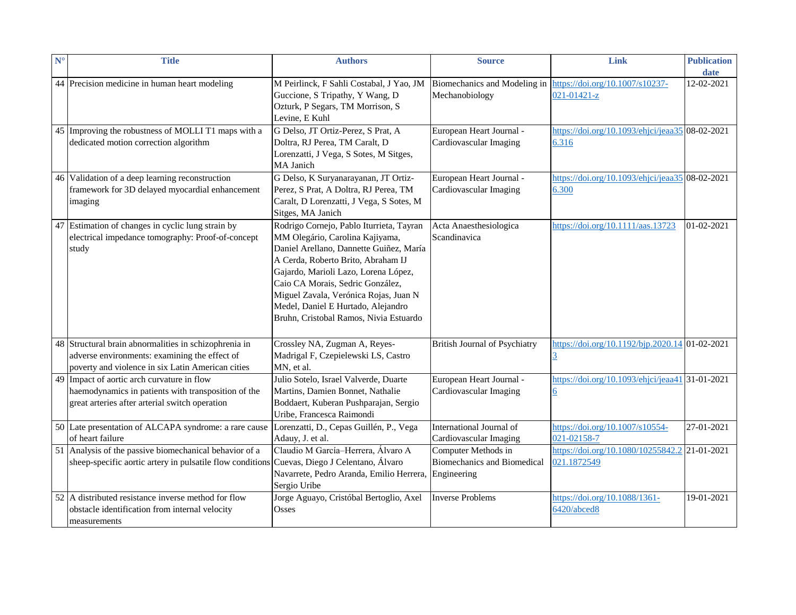| $\mathbf{N}^{\circ}$ | <b>Title</b>                                                                                                                                                | <b>Authors</b>                                                                                                                                                                                                                                                                                                                                                    | <b>Source</b>                                                            | Link                                                         | <b>Publication</b><br>date |
|----------------------|-------------------------------------------------------------------------------------------------------------------------------------------------------------|-------------------------------------------------------------------------------------------------------------------------------------------------------------------------------------------------------------------------------------------------------------------------------------------------------------------------------------------------------------------|--------------------------------------------------------------------------|--------------------------------------------------------------|----------------------------|
|                      | 44 Precision medicine in human heart modeling                                                                                                               | M Peirlinck, F Sahli Costabal, J Yao, JM<br>Guccione, S Tripathy, Y Wang, D<br>Ozturk, P Segars, TM Morrison, S<br>Levine, E Kuhl                                                                                                                                                                                                                                 | Biomechanics and Modeling in<br>Mechanobiology                           | https://doi.org/10.1007/s10237-<br>$021 - 01421 - z$         | 12-02-2021                 |
|                      | 45 Improving the robustness of MOLLI T1 maps with a<br>dedicated motion correction algorithm                                                                | G Delso, JT Ortiz-Perez, S Prat, A<br>Doltra, RJ Perea, TM Caralt, D<br>Lorenzatti, J Vega, S Sotes, M Sitges,<br>MA Janich                                                                                                                                                                                                                                       | European Heart Journal -<br>Cardiovascular Imaging                       | https://doi.org/10.1093/ehjci/jeaa35 08-02-2021<br>6.316     |                            |
|                      | 46 Validation of a deep learning reconstruction<br>framework for 3D delayed myocardial enhancement<br>imaging                                               | G Delso, K Suryanarayanan, JT Ortiz-<br>Perez, S Prat, A Doltra, RJ Perea, TM<br>Caralt, D Lorenzatti, J Vega, S Sotes, M<br>Sitges, MA Janich                                                                                                                                                                                                                    | European Heart Journal -<br>Cardiovascular Imaging                       | https://doi.org/10.1093/ehjci/jeaa35 08-02-2021<br>6.300     |                            |
|                      | 47 Estimation of changes in cyclic lung strain by<br>electrical impedance tomography: Proof-of-concept<br>study                                             | Rodrigo Cornejo, Pablo Iturrieta, Tayran<br>MM Olegário, Carolina Kajiyama,<br>Daniel Arellano, Dannette Guiñez, María<br>A Cerda, Roberto Brito, Abraham IJ<br>Gajardo, Marioli Lazo, Lorena López,<br>Caio CA Morais, Sedric González,<br>Miguel Zavala, Verónica Rojas, Juan N<br>Medel, Daniel E Hurtado, Alejandro<br>Bruhn, Cristobal Ramos, Nivia Estuardo | Acta Anaesthesiologica<br>Scandinavica                                   | https://doi.org/10.1111/aas.13723                            | 01-02-2021                 |
|                      | 48 Structural brain abnormalities in schizophrenia in<br>adverse environments: examining the effect of<br>poverty and violence in six Latin American cities | Crossley NA, Zugman A, Reyes-<br>Madrigal F, Czepielewski LS, Castro<br>MN, et al.                                                                                                                                                                                                                                                                                | <b>British Journal of Psychiatry</b>                                     | https://doi.org/10.1192/bjp.2020.14 01-02-2021<br>3          |                            |
|                      | 49 Impact of aortic arch curvature in flow<br>haemodynamics in patients with transposition of the<br>great arteries after arterial switch operation         | Julio Sotelo, Israel Valverde, Duarte<br>Martins, Damien Bonnet, Nathalie<br>Boddaert, Kuberan Pushparajan, Sergio<br>Uribe, Francesca Raimondi                                                                                                                                                                                                                   | European Heart Journal -<br>Cardiovascular Imaging                       | https://doi.org/10.1093/ehjci/jeaa41 31-01-2021<br><u>6</u>  |                            |
|                      | 50 Late presentation of ALCAPA syndrome: a rare cause<br>of heart failure                                                                                   | Lorenzatti, D., Cepas Guillén, P., Vega<br>Adauy, J. et al.                                                                                                                                                                                                                                                                                                       | International Journal of<br>Cardiovascular Imaging                       | https://doi.org/10.1007/s10554-<br>021-02158-7               | 27-01-2021                 |
|                      | 51 Analysis of the passive biomechanical behavior of a<br>sheep-specific aortic artery in pulsatile flow conditions                                         | Claudio M García-Herrera, Álvaro A<br>Cuevas, Diego J Celentano, Álvaro<br>Navarrete, Pedro Aranda, Emilio Herrera,<br>Sergio Uribe                                                                                                                                                                                                                               | Computer Methods in<br><b>Biomechanics and Biomedical</b><br>Engineering | https://doi.org/10.1080/10255842.2 21-01-2021<br>021.1872549 |                            |
|                      | 52 A distributed resistance inverse method for flow<br>obstacle identification from internal velocity<br>measurements                                       | Jorge Aguayo, Cristóbal Bertoglio, Axel<br>Osses                                                                                                                                                                                                                                                                                                                  | <b>Inverse Problems</b>                                                  | https://doi.org/10.1088/1361-<br>6420/abced8                 | 19-01-2021                 |